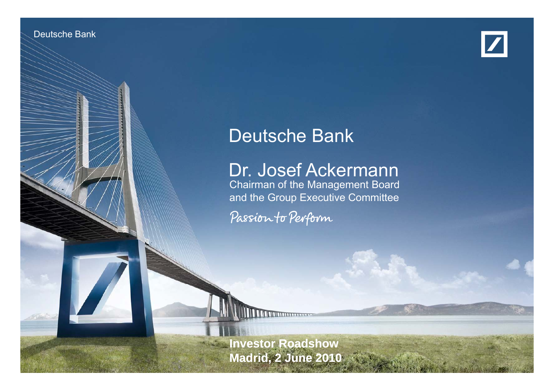

Deutsche Bank und deutsche Investor Relations



# Deutsche Bank

# Dr. Josef Ackermann

Chairman of the Management Board and the Group Executive Committee

Passion to Perform

**Investor Roadshow Madrid, 2 June 2010**

2 June 2010 12:25

Dr. Josef Ackermann B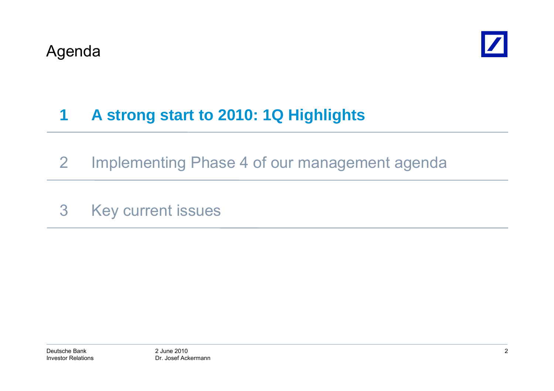

### **1A strong start to 2010: 1Q Highlights**

- 2 Implementing Phase 4 of our management agenda
- 3 Key current issues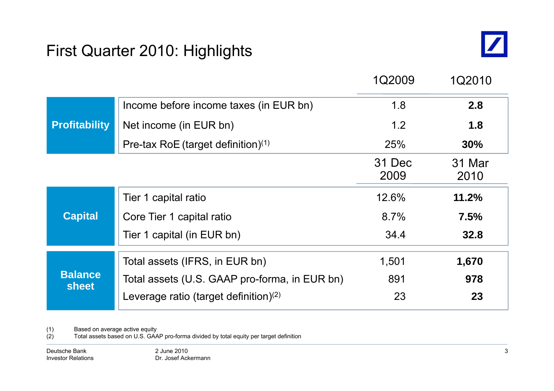# First Quarter 2010: Highlights



|                                |                                               | 1Q2009         | 1Q2010         |
|--------------------------------|-----------------------------------------------|----------------|----------------|
|                                | Income before income taxes (in EUR bn)        | 1.8            | 2.8            |
| <b>Profitability</b>           | Net income (in EUR bn)                        | 1.2            | 1.8            |
|                                | Pre-tax RoE (target definition) $(1)$         | 25%            | 30%            |
|                                |                                               | 31 Dec<br>2009 | 31 Mar<br>2010 |
|                                | Tier 1 capital ratio                          | 12.6%          | 11.2%          |
| <b>Capital</b>                 | Core Tier 1 capital ratio                     | 8.7%           | 7.5%           |
|                                | Tier 1 capital (in EUR bn)                    | 34.4           | 32.8           |
|                                | Total assets (IFRS, in EUR bn)                | 1,501          | 1,670          |
| <b>Balance</b><br><b>sheet</b> | Total assets (U.S. GAAP pro-forma, in EUR bn) | 891            | 978            |
|                                | Leverage ratio (target definition) $(2)$      | 23             | 23             |

(1) Based on average active equity

(2) Total assets based on U.S. GAAP pro-forma divided by total equity per target definition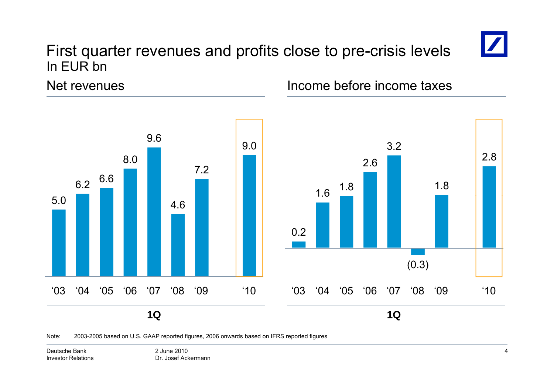# First quarter revenues and profits close to pre-crisis levels In EUR bn



Net revenues



Income before income taxes



Note: 2003-2005 based on U.S. GAAP reported figures, 2006 onwards based on IFRS reported figures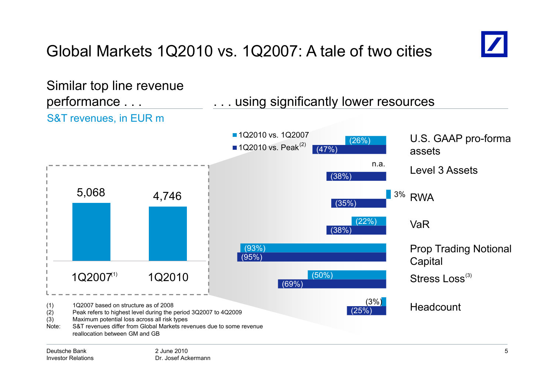# Global Markets 1Q2010 vs. 1Q2007: A tale of two cities



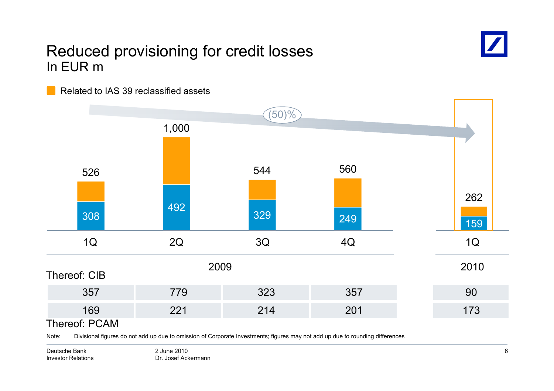## Reduced provisioning for credit losses In EUR m



Related to IAS 39 reclassified assets



Note: Divisional figures do not add up due to omission of Corporate Investments; figures may not add up due to rounding differences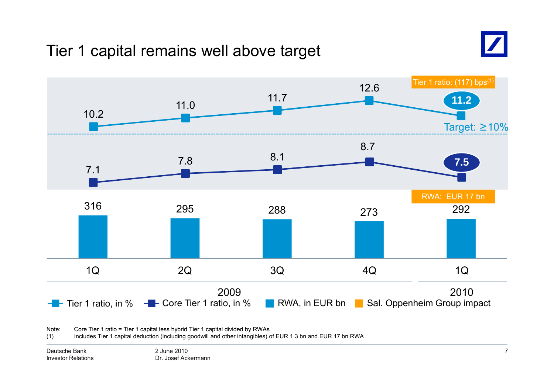# Tier 1 capital remains well above target





Note:: Core Tier 1 ratio = Tier 1 capital less hybrid Tier 1 capital divided by RWAs

(1) Includes Tier 1 capital deduction (including goodwill and other intangibles) of EUR 1.3 bn and EUR 17 bn RWA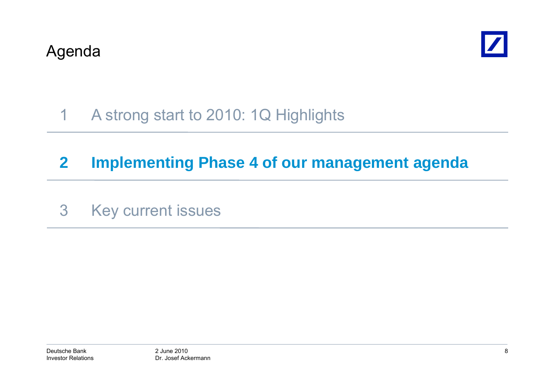

### 1A strong start to 2010: 1Q Highlights

# **2 Implementing Phase 4 of our management agenda**

3 Key current issues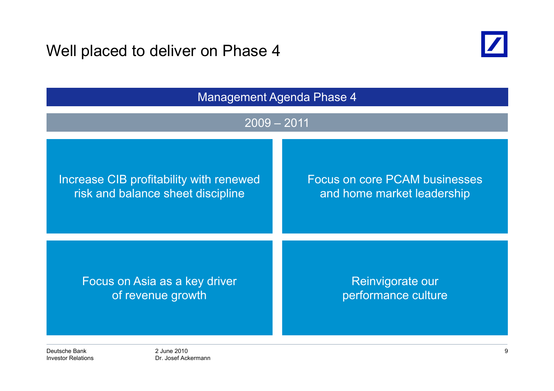Well placed to deliver on Phase 4



| <b>Management Agenda Phase 4</b><br>$2009 - 2011$ |                                      |  |
|---------------------------------------------------|--------------------------------------|--|
|                                                   |                                      |  |
| Increase CIB profitability with renewed           | <b>Focus on core PCAM businesses</b> |  |
| risk and balance sheet discipline                 | and home market leadership           |  |
| Focus on Asia as a key driver                     | Reinvigorate our                     |  |
| of revenue growth                                 | performance culture                  |  |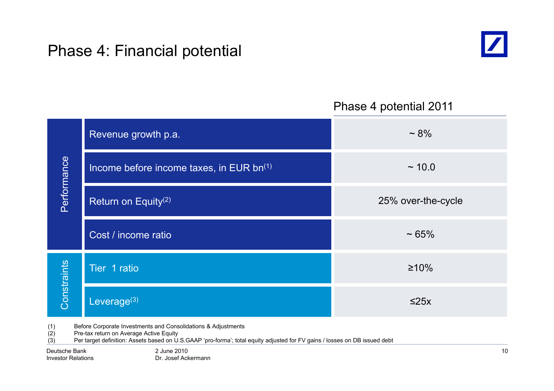# Phase 4: Financial potential



### Phase 4 potential 2011

|                                                                      | Revenue growth p.a.                                  | $~1.8\%$           |
|----------------------------------------------------------------------|------------------------------------------------------|--------------------|
| Performance                                                          | Income before income taxes, in EUR bn <sup>(1)</sup> | ~10.0              |
|                                                                      | Return on Equity <sup>(2)</sup>                      | 25% over-the-cycle |
|                                                                      | Cost / income ratio                                  | $~1.65\%$          |
|                                                                      | Tier 1 ratio                                         | $\geq 10\%$        |
| Constraints                                                          | Leverage $(3)$                                       | $\leq$ 25x         |
| (1)<br>Before Corporate Investments and Consolidations & Adjustments |                                                      |                    |

(2) Pre-tax return on Average Active Equity

(3) Per target definition: Assets based on U.S.GAAP 'pro-forma'; total equity adjusted for FV gains / losses on DB issued debt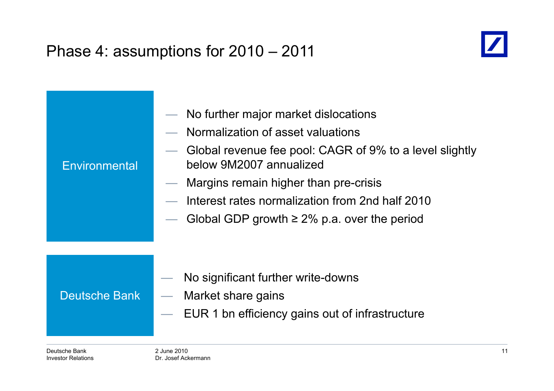# Phase 4: assumptions for 2010 – 2011



| Environmental        | No further major market dislocations<br>$\overline{\phantom{0}}$<br>Normalization of asset valuations<br>Global revenue fee pool: CAGR of 9% to a level slightly<br>below 9M2007 annualized<br>Margins remain higher than pre-crisis<br>$\overline{\phantom{0}}$<br>Interest rates normalization from 2nd half 2010<br>Global GDP growth $\geq$ 2% p.a. over the period |
|----------------------|-------------------------------------------------------------------------------------------------------------------------------------------------------------------------------------------------------------------------------------------------------------------------------------------------------------------------------------------------------------------------|
| <b>Deutsche Bank</b> | No significant further write-downs<br>Market share gains<br>$\overline{\phantom{0}}$<br>EUR 1 bn efficiency gains out of infrastructure                                                                                                                                                                                                                                 |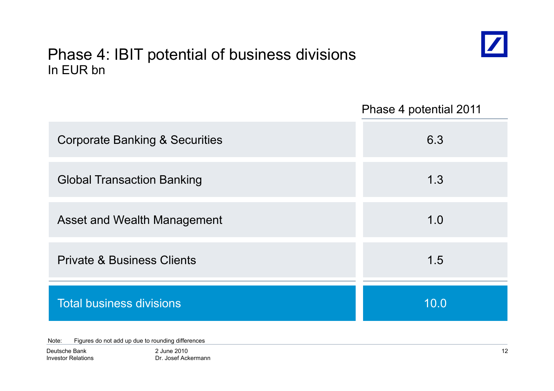## Phase 4: IBIT potential of business divisions In EUR bn



Phase 4 potential 2011

| <b>Corporate Banking &amp; Securities</b> | 6.3  |
|-------------------------------------------|------|
| <b>Global Transaction Banking</b>         | 1.3  |
| <b>Asset and Wealth Management</b>        | 1.0  |
| <b>Private &amp; Business Clients</b>     | 1.5  |
| <b>Total business divisions</b>           | 10.0 |

Note: Figures do not add up due to rounding differences

Deutsche BankInvestor Relations 2 June 2010Dr. Josef Ackermann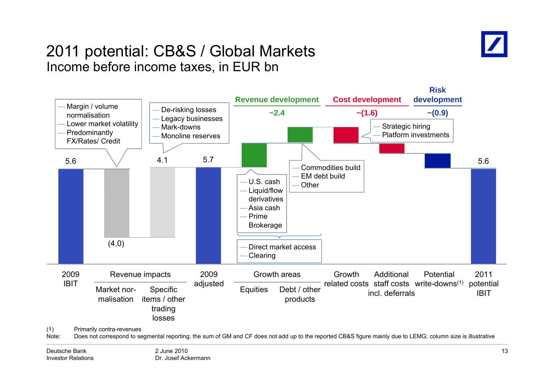

### 2011 potential: CB&S / Global Markets Income before income taxes, in EUR bn

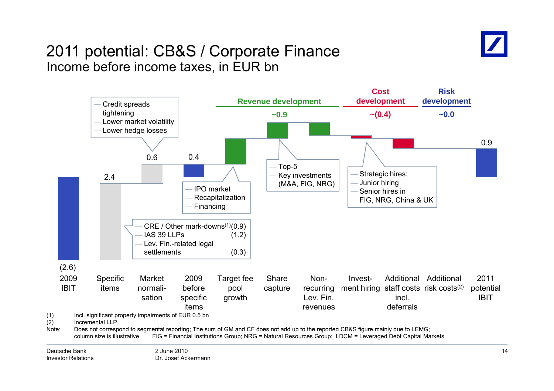![](_page_13_Picture_0.jpeg)

### 2011 potential: CB&S / Corporate Finance Income before income taxes, in EUR bn

![](_page_13_Figure_2.jpeg)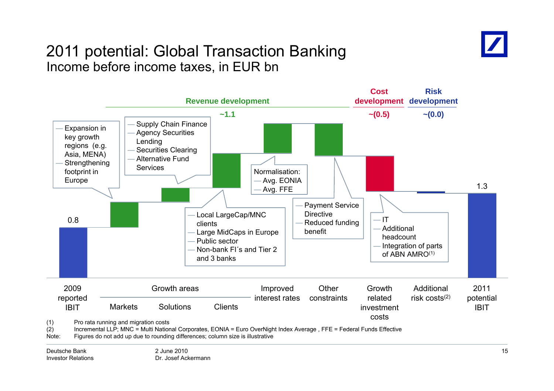![](_page_14_Picture_0.jpeg)

### 2011 potential: Global Transaction Banking Income before income taxes, in EUR bn

![](_page_14_Figure_2.jpeg)

Investor Relations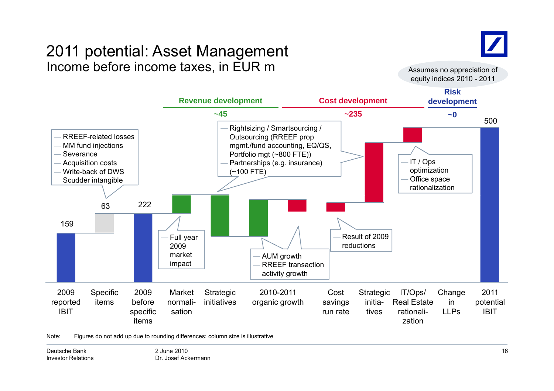# 2011 potential: Asset Management Income before income taxes, in EUR m  $\blacksquare$  assumes no appreciation of

![](_page_15_Picture_1.jpeg)

equity indices 2010 - 2011

![](_page_15_Figure_3.jpeg)

Note: Figures do not add up due to rounding differences; column size is illustrative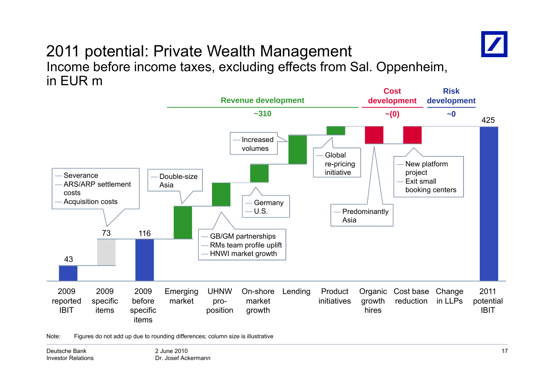![](_page_16_Picture_0.jpeg)

### 2011 potential: Private Wealth Management Income before income taxes, excluding effects from Sal. Oppenheim, in EUR m

![](_page_16_Figure_2.jpeg)

Note: Figures do not add up due to rounding differences; column size is illustrative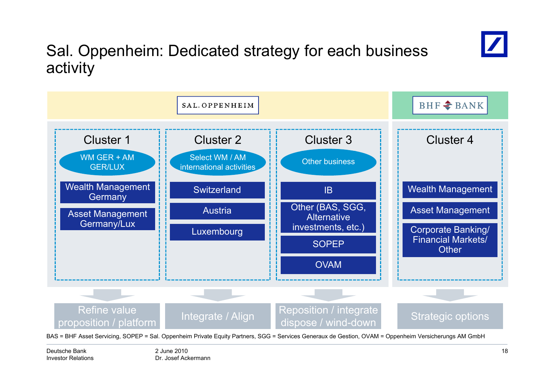![](_page_17_Picture_0.jpeg)

# Sal. Oppenheim: Dedicated strategy for each business activity

![](_page_17_Figure_2.jpeg)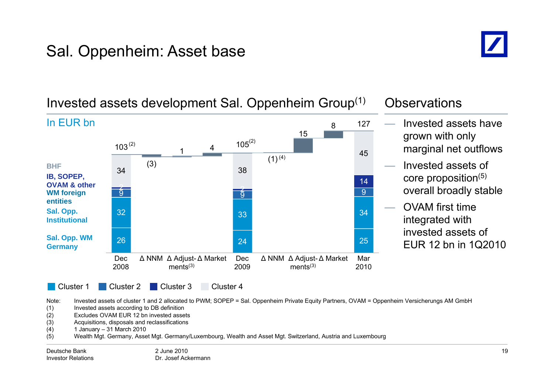# Sal. Oppenheim: Asset base

![](_page_18_Picture_1.jpeg)

### 115 4845 $103^{(2)}$  $3^{(2)}$  105 127In EUR bn Invested assets have grown with only marginal net outflows (2) (2) 99  $\overline{9}$ 142 (3) 2  $(1)^{(4)}$ 34 38 **WM forei gn g IB, SOPEP, OVAM & otherBHF** Invested assets of core proposition(5) overall broadly stable 266 24 25 32 333<sup>3</sup> **Sal. Opp. WM entitiesSal. Opp. Institutional** OVAM first time integrated with invested assets of **Germany** and  $\overline{a}$  and  $\overline{a}$  and  $\overline{a}$  and  $\overline{a}$  and  $\overline{a}$  and  $\overline{a}$  and  $\overline{a}$  and  $\overline{a}$  and  $\overline{a}$  and  $\overline{a}$  and  $\overline{a}$  and  $\overline{a}$  and  $\overline{a}$  and  $\overline{a}$  and  $\overline{a}$  and  $\overline{a}$  and Cluster 1 Cluster Cluster 2 Dec 2008Δ NNM Δ Adjust-Δ Market Dec  $ments<sup>(3)</sup>$ 2009Δ NNM Δ Adjust-Δ Market Mar  $ments<sup>(3)</sup>$ 2010EUR 12 bn in 1Q2010 Cluster<sub>3</sub> Cluster<sub>4</sub>

### Invested assets development Sal. Oppenheim Group $^{\left(1\right)}$   $\;$  Observations

Note: Invested assets of cluster 1 and 2 allocated to PWM; SOPEP = Sal. Oppenheim Private Equity Partners, OVAM = Oppenheim Versicherungs AM GmbH

(1) Invested assets according to DB definition

- (2) Excludes OVAM EUR 12 bn invested assets
- (3) Acquisitions, disposals and reclassifications
- (4) 1 January 31 March 2010 –
- (5) Wealth Mgt. Germany, Asset Mgt. Germany/Luxembourg, Wealth and Asset Mgt. Switzerland, Austria and Luxembourg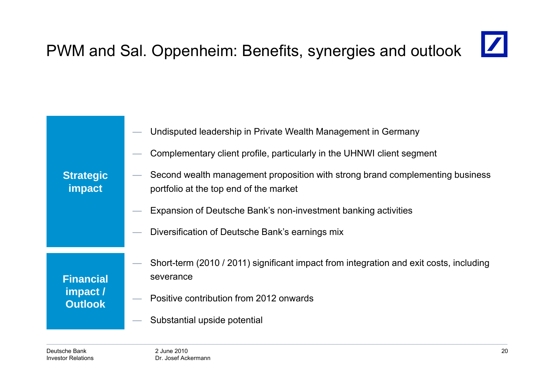### $\boxed{\mathbb{Z}}$ PWM and Sal. Oppenheim: Benefits, synergies and outlook

|                                                | Undisputed leadership in Private Wealth Management in Germany                                                           |
|------------------------------------------------|-------------------------------------------------------------------------------------------------------------------------|
|                                                | Complementary client profile, particularly in the UHNWI client segment                                                  |
| <b>Strategic</b><br>impact                     | Second wealth management proposition with strong brand complementing business<br>portfolio at the top end of the market |
|                                                | Expansion of Deutsche Bank's non-investment banking activities                                                          |
|                                                | Diversification of Deutsche Bank's earnings mix                                                                         |
|                                                |                                                                                                                         |
|                                                | Short-term (2010 / 2011) significant impact from integration and exit costs, including                                  |
| <b>Financial</b><br>impact /<br><b>Outlook</b> | severance                                                                                                               |
|                                                | Positive contribution from 2012 onwards                                                                                 |
|                                                | Substantial upside potential                                                                                            |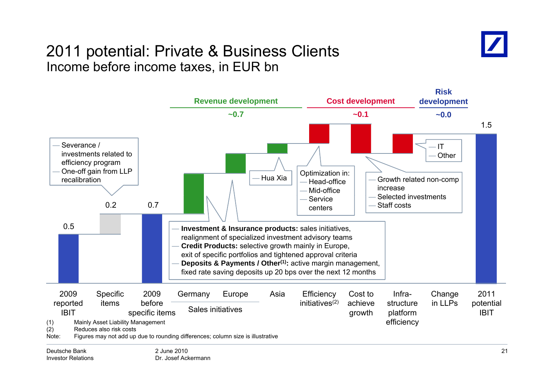## 2011 potential: Private & Business Clients Income before income taxes, in EUR bn

![](_page_20_Picture_1.jpeg)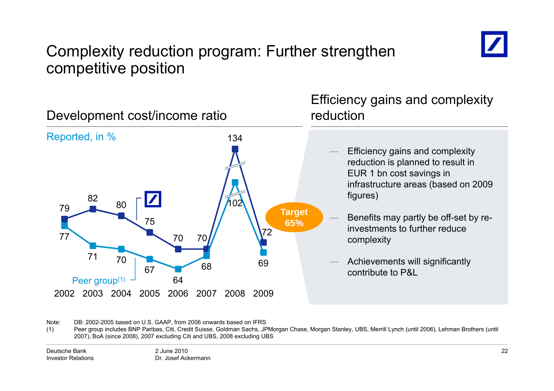![](_page_21_Picture_0.jpeg)

# Complexity reduction program: Further strengthen competitive position

![](_page_21_Figure_2.jpeg)

Note: DB: 2002-2005 based on U.S. GAAP, from 2006 onwards based on IFRS

(1) Peer group includes BNP Paribas, Citi, Credit Suisse, Goldman Sachs, JPMorgan Chase, Morgan Stanley, UBS, Merrill Lynch (until 2006), Lehman Brothers (until 2007), BoA (since 2008), 2007 excluding Citi and UBS, 2008 excluding UBS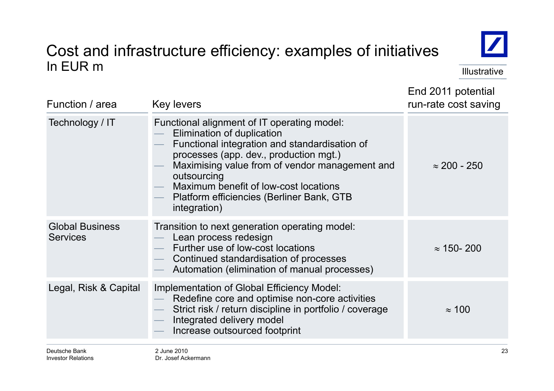### Cost and infrastructure efficiency: examples of initiatives In EUR m Illustrative in the second service in the second service in the service in the lillustrative

![](_page_22_Picture_1.jpeg)

End 2011 potential

| Function / area                           | <b>Key levers</b>                                                                                                                                                                                                                                                                                                                           | run-rate cost saving |
|-------------------------------------------|---------------------------------------------------------------------------------------------------------------------------------------------------------------------------------------------------------------------------------------------------------------------------------------------------------------------------------------------|----------------------|
| Technology / IT                           | Functional alignment of IT operating model:<br>Elimination of duplication<br>Functional integration and standardisation of<br>processes (app. dev., production mgt.)<br>Maximising value from of vendor management and<br>outsourcing<br>Maximum benefit of low-cost locations<br>Platform efficiencies (Berliner Bank, GTB<br>integration) | $\approx$ 200 - 250  |
| <b>Global Business</b><br><b>Services</b> | Transition to next generation operating model:<br>Lean process redesign<br>Further use of low-cost locations<br>Continued standardisation of processes<br>Automation (elimination of manual processes)                                                                                                                                      | $\approx$ 150-200    |
| Legal, Risk & Capital                     | Implementation of Global Efficiency Model:<br>Redefine core and optimise non-core activities<br>Strict risk / return discipline in portfolio / coverage<br>Integrated delivery model<br>Increase outsourced footprint                                                                                                                       | $\approx$ 100        |
| Deutsche Bank                             | 2 June 2010                                                                                                                                                                                                                                                                                                                                 | 23                   |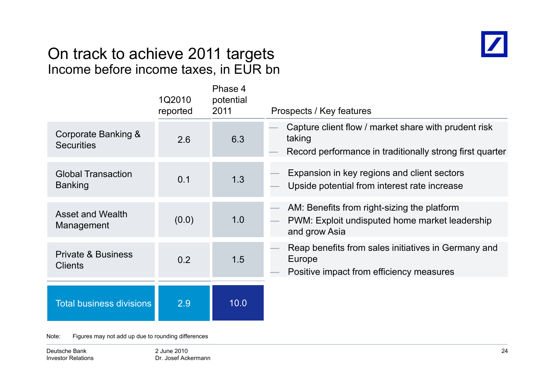# On track to achieve 2011 tar gets Income before income taxes, in EUR bn

![](_page_23_Picture_1.jpeg)

|                                                 | 1Q2010<br>reported | Phase 4<br>potential<br>2011 | Prospects / Key features                                                                                                   |
|-------------------------------------------------|--------------------|------------------------------|----------------------------------------------------------------------------------------------------------------------------|
| Corporate Banking &<br><b>Securities</b>        | 2.6                | 6.3                          | Capture client flow / market share with prudent risk<br>taking<br>Record performance in traditionally strong first quarter |
| <b>Global Transaction</b><br><b>Banking</b>     | 0.1                | 1.3                          | Expansion in key regions and client sectors<br>Upside potential from interest rate increase                                |
| <b>Asset and Wealth</b><br>Management           | (0.0)              | 1.0                          | AM: Benefits from right-sizing the platform<br>PWM: Exploit undisputed home market leadership<br>and grow Asia             |
| <b>Private &amp; Business</b><br><b>Clients</b> | 0.2                | 1.5                          | Reap benefits from sales initiatives in Germany and<br>Europe<br>Positive impact from efficiency measures                  |
| <b>Total business divisions</b>                 | 2.9                | 10.0                         |                                                                                                                            |

Note: Figures may not add up due to rounding differences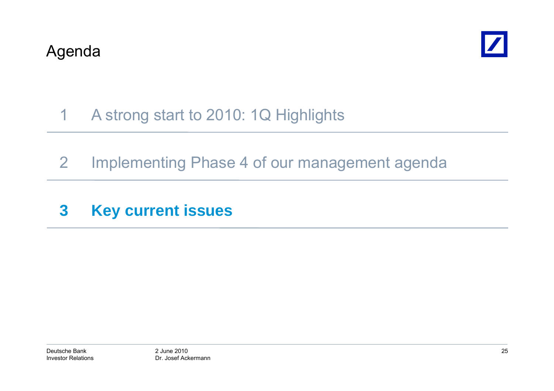![](_page_24_Picture_1.jpeg)

### 1A strong start to 2010: 1Q Highlights

- 2 Implementing Phase 4 of our management agenda
- **3 Key current issues**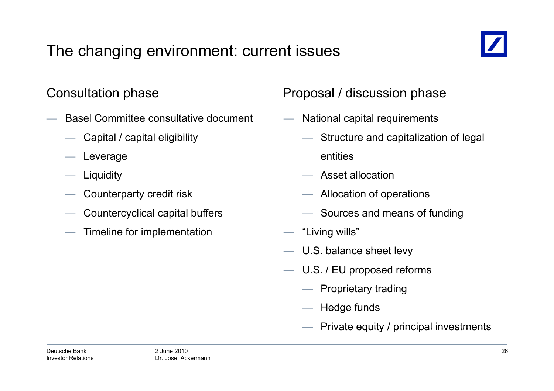# The changing environment: current issues

![](_page_25_Picture_1.jpeg)

- Basel Committee consultative document
	- Capital / capital eligibility
	- Leverage
	- Liquidity
	- $\hspace{.1cm}$  Counterparty credit risk  $\hspace{.1cm}$   $\hspace{.1cm}$
	- Countercyclical capital buffers
	- Timeline for implementation

### Consultation phase **Proposal / discussion phase**

- National capital requirements
	- Structure and capitalization of legal entities
	- $-$  Asset allocation
	- $-$  Allocation of operations
	- Sources and means of funding
- "Living wills"
- U.S. balance sheet levy
- — U.S. / EU proposed reforms
	- Proprietary trading
	- Hedge funds
	- Private equity / principal investments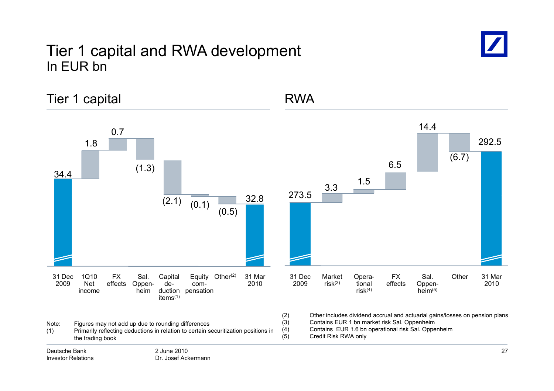### Tier 1 capital and RWA development In EUR bn

Dr. Josef Ackermann

Investor Relations

![](_page_26_Picture_1.jpeg)

Tier 1 capital and 1 and 1 and 1 and 1 and 1 and 1 and 1 and 1 and 1 and 1 and 1 and 1 and 1 and 1 and 1 and 1 1.8 0.77 and 14.4 292.534.4 (1.3) 32 8 <sup>273</sup> <sup>5</sup> 3.3 1.5 6.5 (6.7)  $(2.1)$   $(0.1)$   $(0.5)$   $(0.5)$   $(0.5)$   $(0.6)$   $(0.7)$   $(0.6)$   $(0.8)$   $(0.7)$   $(0.8)$   $(0.8)$   $(0.9)$   $(0.9)$   $(0.9)$   $(0.9)$   $(0.1)$   $(0.9)$   $(0.1)$   $(0.9)$   $(0.1)$   $(0.9)$   $(0.1)$   $(0.9)$   $(0.1)$   $(0.9)$   $(0.1)$   $(0.9$ 200931 Mar20101Q10 NetFX effects Oppen-Equity Other<sup>(2)</sup> com-Capital de- Other Sal. (2) Oppen- 31 Dec <sup>2009</sup> Opera- tional 31 Mar <sup>2010</sup> Sal. Oppen- Market Other risk(3) FX effects income duction pensation items(1) heim2009 Net effects Oppen- de-<br>
income heim duction pensation items<sup>(1)</sup><br>
Note: Figures may not add up due to rounding differences (3) Other includes dividend accrual and actuarial gai (2) Other includes dividend accrual and actuarial gains/losses on pension plans (3) Contains EUR 1 bn market risk Sal. Oppenheim<br>(4) Contains EUR 1.6 bn operational risk Sal. Oppe (4) Contains EUR 1 6 bn operational risk Sal Oppenheim 1.6 Sal. (5) Credit Risk RWA only2 June 2010Deutsche Bank27(1) Primarily reflecting deductions in relation to certain securitization positions in the trading book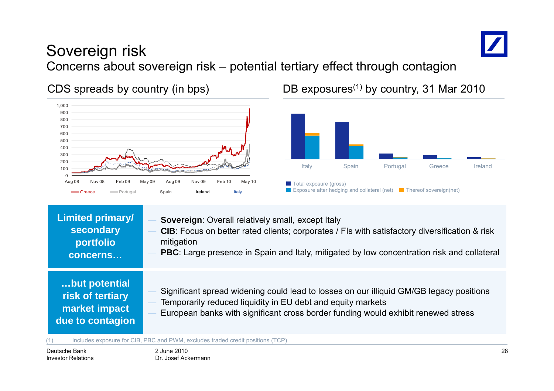![](_page_27_Picture_0.jpeg)

# Sovereign risk Concerns about sovereign risk – potential tertiary effect through contagion

![](_page_27_Figure_3.jpeg)

CDS spreads by country (in bps) DB exposures<sup>(1)</sup> by country, 31 Mar 2010

![](_page_27_Figure_5.jpeg)

| <b>Limited primary/</b>                                                | Sovereign: Overall relatively small, except Italy                                                                                                                                                                                           |
|------------------------------------------------------------------------|---------------------------------------------------------------------------------------------------------------------------------------------------------------------------------------------------------------------------------------------|
| secondary                                                              | CIB: Focus on better rated clients; corporates / FIs with satisfactory diversification & risk                                                                                                                                               |
| portfolio                                                              | mitigation                                                                                                                                                                                                                                  |
| concerns                                                               | <b>PBC</b> : Large presence in Spain and Italy, mitigated by low concentration risk and collateral                                                                                                                                          |
| but potential<br>risk of tertiary<br>market impact<br>due to contagion | Significant spread widening could lead to losses on our illiquid GM/GB legacy positions<br>Temporarily reduced liquidity in EU debt and equity markets<br>European banks with significant cross border funding would exhibit renewed stress |

(1) Includes exposure for CIB, PBC and PWM, excludes traded credit positions (TCP)

Deutsche BankInvestor Relations 2 June 2010Dr. Josef Ackermann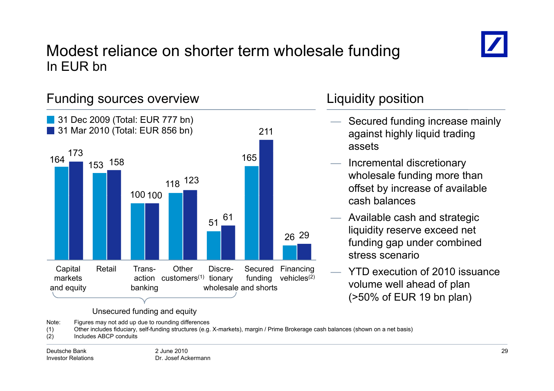![](_page_28_Picture_0.jpeg)

### Modest reliance on shorter term wholesale funding In EUR bn

![](_page_28_Figure_2.jpeg)

Note: Figures may not add up due to rounding differences

(1) Other includes fiduciary, self-funding structures (e.g. X-markets), margin / Prime Brokerage cash balances (shown on a net basis)

(2) Includes ABCP conduits

- Secured funding increase mainly against highly liquid trading assets
- Incremental discretionary wholesale funding more than offset by increase of available cash balances
- Available cash and strategic liquidity reserve exceed net funding gap under combined stress scenario
- YTD execution of 2010 issuance (>50% of EUR 19 bn plan)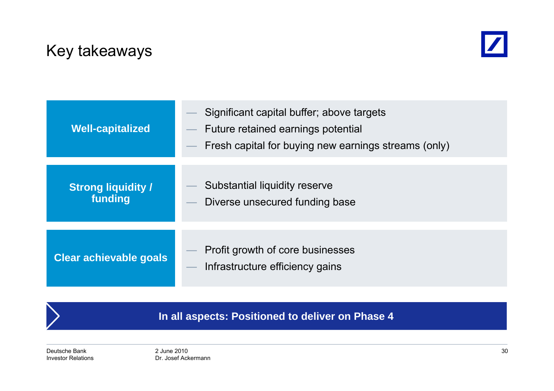# Key takeaways

![](_page_29_Picture_1.jpeg)

| <b>Well-capitalized</b>              | Significant capital buffer; above targets<br>Future retained earnings potential<br>Fresh capital for buying new earnings streams (only) |
|--------------------------------------|-----------------------------------------------------------------------------------------------------------------------------------------|
|                                      |                                                                                                                                         |
| <b>Strong liquidity /</b><br>funding | Substantial liquidity reserve                                                                                                           |
|                                      | Diverse unsecured funding base                                                                                                          |
|                                      |                                                                                                                                         |
|                                      | Profit growth of core businesses                                                                                                        |
| Clear achievable goals               | Infrastructure efficiency gains                                                                                                         |
|                                      |                                                                                                                                         |

**In all aspects: Positioned to deliver on Phase 4**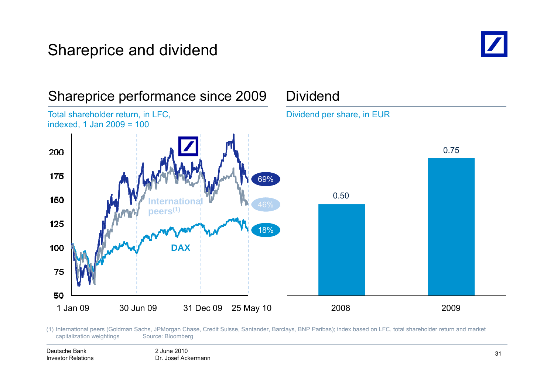# Shareprice and dividend

![](_page_30_Picture_1.jpeg)

![](_page_30_Figure_2.jpeg)

(1) International peers (Goldman Sachs, JPMorgan Chase, Credit Suisse, Santander, Barclays, BNP Paribas); index based on LFC, total shareholder return and market capitalization weightings Source: Bloomberg